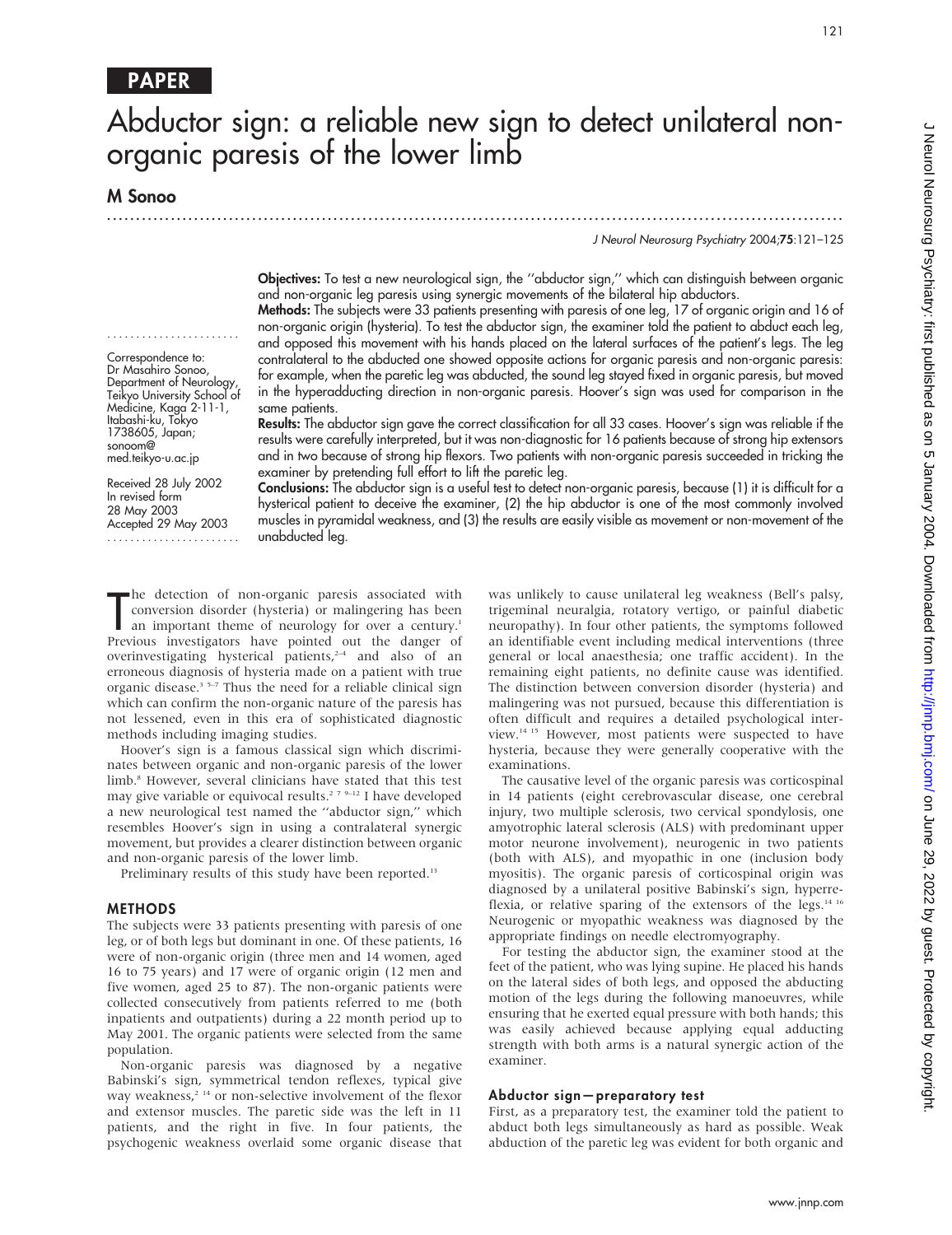# Abductor sign: a reliable new sign to detect unilateral nonorganic paresis of the lower limb

.............................................................................................................................. .

## M Sonoo

J Neurol Neurosurg Psychiatry 2004;75:121–125

Objectives: To test a new neurological sign, the ''abductor sign,'' which can distinguish between organic and non-organic leg paresis using synergic movements of the bilateral hip abductors.

Methods: The subjects were 33 patients presenting with paresis of one leg, 17 of organic origin and 16 of non-organic origin (hysteria). To test the abductor sign, the examiner told the patient to abduct each leg, and opposed this movement with his hands placed on the lateral surfaces of the patient's legs. The leg contralateral to the abducted one showed opposite actions for organic paresis and non-organic paresis: for example, when the paretic leg was abducted, the sound leg stayed fixed in organic paresis, but moved in the hyperadducting direction in non-organic paresis. Hoover's sign was used for comparison in the same patients.

Results: The abductor sign gave the correct classification for all 33 cases. Hoover's sign was reliable if the results were carefully interpreted, but it was non-diagnostic for 16 patients because of strong hip extensors and in two because of strong hip flexors. Two patients with non-organic paresis succeeded in tricking the examiner by pretending full effort to lift the paretic leg.

Conclusions: The abductor sign is a useful test to detect non-organic paresis, because (1) it is difficult for a hysterical patient to deceive the examiner, (2) the hip abductor is one of the most commonly involved muscles in pyramidal weakness, and (3) the results are easily visible as movement or non-movement of the unabducted leg.

The detection of non-organic paresis associated with<br>
conversion disorder (hysteria) or malingering has been<br>
an important theme of neurology for over a century.<sup>1</sup><br>
Previous investigators have pointed out the danger of he detection of non-organic paresis associated with conversion disorder (hysteria) or malingering has been an important theme of neurology for over a century.<sup>1</sup> overinvestigating hysterical patients, $24$  and also of an erroneous diagnosis of hysteria made on a patient with true organic disease.<sup>3 5–7</sup> Thus the need for a reliable clinical sign which can confirm the non-organic nature of the paresis has not lessened, even in this era of sophisticated diagnostic methods including imaging studies.

Hoover's sign is a famous classical sign which discriminates between organic and non-organic paresis of the lower limb.8 However, several clinicians have stated that this test may give variable or equivocal results.<sup>279-12</sup> I have developed a new neurological test named the ''abductor sign,'' which resembles Hoover's sign in using a contralateral synergic movement, but provides a clearer distinction between organic and non-organic paresis of the lower limb.

Preliminary results of this study have been reported.<sup>13</sup>

## METHODS

The subjects were 33 patients presenting with paresis of one leg, or of both legs but dominant in one. Of these patients, 16 were of non-organic origin (three men and 14 women, aged 16 to 75 years) and 17 were of organic origin (12 men and five women, aged 25 to 87). The non-organic patients were collected consecutively from patients referred to me (both inpatients and outpatients) during a 22 month period up to May 2001. The organic patients were selected from the same population.

Non-organic paresis was diagnosed by a negative Babinski's sign, symmetrical tendon reflexes, typical give way weakness,<sup>2 14</sup> or non-selective involvement of the flexor and extensor muscles. The paretic side was the left in 11 patients, and the right in five. In four patients, the psychogenic weakness overlaid some organic disease that was unlikely to cause unilateral leg weakness (Bell's palsy, trigeminal neuralgia, rotatory vertigo, or painful diabetic neuropathy). In four other patients, the symptoms followed an identifiable event including medical interventions (three general or local anaesthesia; one traffic accident). In the remaining eight patients, no definite cause was identified. The distinction between conversion disorder (hysteria) and malingering was not pursued, because this differentiation is often difficult and requires a detailed psychological interview.14 15 However, most patients were suspected to have hysteria, because they were generally cooperative with the examinations.

The causative level of the organic paresis was corticospinal in 14 patients (eight cerebrovascular disease, one cerebral injury, two multiple sclerosis, two cervical spondylosis, one amyotrophic lateral sclerosis (ALS) with predominant upper motor neurone involvement), neurogenic in two patients (both with ALS), and myopathic in one (inclusion body myositis). The organic paresis of corticospinal origin was diagnosed by a unilateral positive Babinski's sign, hyperreflexia, or relative sparing of the extensors of the legs.<sup>14 16</sup> Neurogenic or myopathic weakness was diagnosed by the appropriate findings on needle electromyography.

For testing the abductor sign, the examiner stood at the feet of the patient, who was lying supine. He placed his hands on the lateral sides of both legs, and opposed the abducting motion of the legs during the following manoeuvres, while ensuring that he exerted equal pressure with both hands; this was easily achieved because applying equal adducting strength with both arms is a natural synergic action of the examiner.

#### Abductor sign—preparatory test

First, as a preparatory test, the examiner told the patient to abduct both legs simultaneously as hard as possible. Weak abduction of the paretic leg was evident for both organic and

Correspondence to: Dr Masahiro Sonoo, Department of Neurology Teikyo University School of Medicine, Kaga 2-11-1, Itabashi-ku, Tokyo 1738605, Japan; sonoom@ med.teikyo-u.ac.jp

.......................

Received 28 July 2002 In revised form 28 May 2003 Accepted 29 May 2003 .......................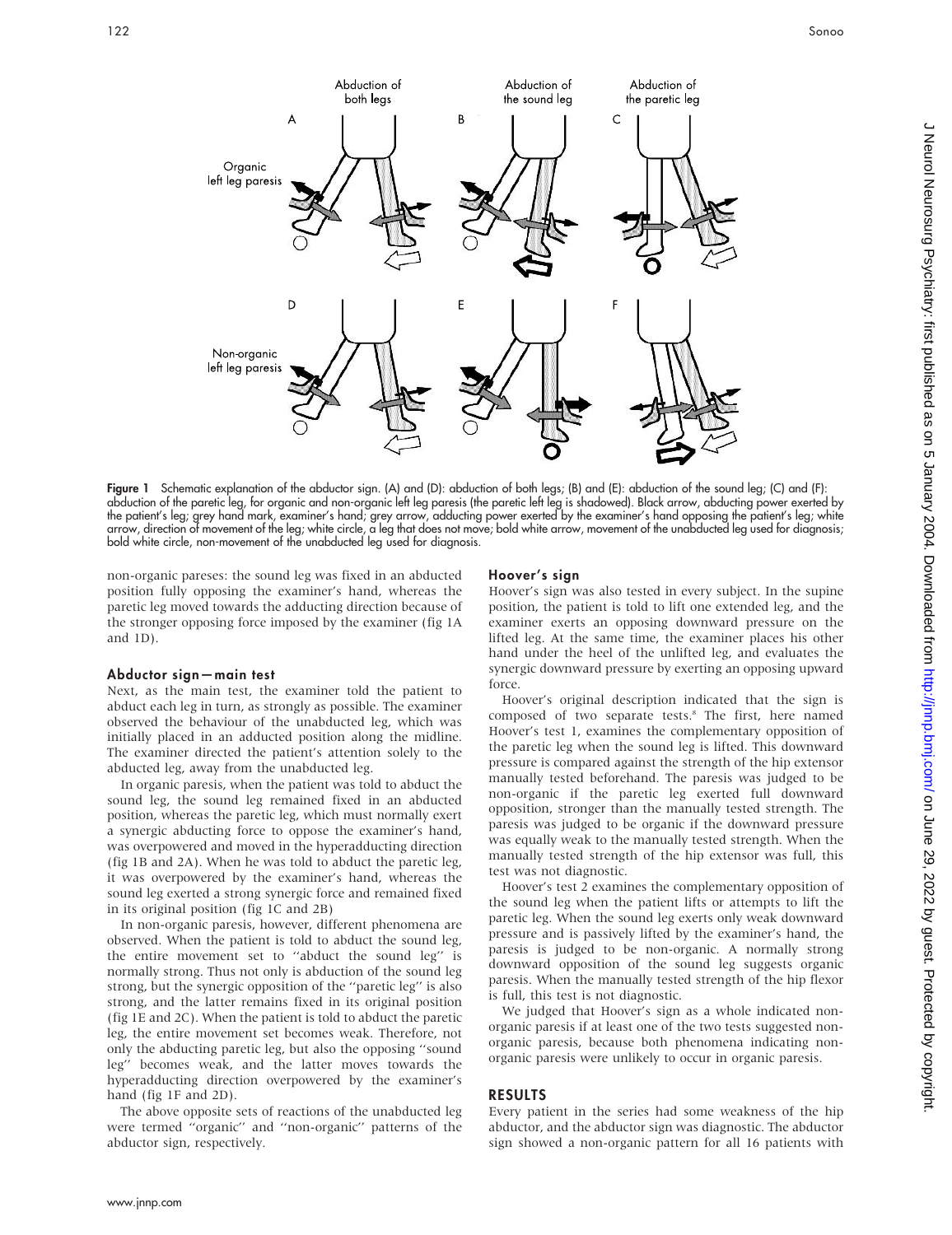

Figure 1 Schematic explanation of the abductor sign. (A) and (D): abduction of both legs; (B) and (E): abduction of the sound leg; (C) and (F): abduction of the paretic leg, for organic and non-organic left leg paresis (the paretic left leg is shadowed). Black arrow, abducting power exerted by the patient's leg; grey hand mark, examiner's hand; grey arrow, adducting power exerted by the examiner's hand opposing the patient's leg; white arrow, direction of movement of the leg; white circle, a leg that does not move; bold white arrow, movement of the unabducted leg used for diagnosis; bold white circle, non-movement of the unabducted leg used for diagnosis.

non-organic pareses: the sound leg was fixed in an abducted position fully opposing the examiner's hand, whereas the paretic leg moved towards the adducting direction because of the stronger opposing force imposed by the examiner (fig 1A and 1D).

#### Abductor sign—main test

Next, as the main test, the examiner told the patient to abduct each leg in turn, as strongly as possible. The examiner observed the behaviour of the unabducted leg, which was initially placed in an adducted position along the midline. The examiner directed the patient's attention solely to the abducted leg, away from the unabducted leg.

In organic paresis, when the patient was told to abduct the sound leg, the sound leg remained fixed in an abducted position, whereas the paretic leg, which must normally exert a synergic abducting force to oppose the examiner's hand, was overpowered and moved in the hyperadducting direction (fig 1B and 2A). When he was told to abduct the paretic leg, it was overpowered by the examiner's hand, whereas the sound leg exerted a strong synergic force and remained fixed in its original position (fig 1C and 2B)

In non-organic paresis, however, different phenomena are observed. When the patient is told to abduct the sound leg, the entire movement set to ''abduct the sound leg'' is normally strong. Thus not only is abduction of the sound leg strong, but the synergic opposition of the ''paretic leg'' is also strong, and the latter remains fixed in its original position (fig 1E and 2C). When the patient is told to abduct the paretic leg, the entire movement set becomes weak. Therefore, not only the abducting paretic leg, but also the opposing ''sound leg'' becomes weak, and the latter moves towards the hyperadducting direction overpowered by the examiner's hand (fig 1F and 2D).

The above opposite sets of reactions of the unabducted leg were termed ''organic'' and ''non-organic'' patterns of the abductor sign, respectively.

#### Hoover's sign

Hoover's sign was also tested in every subject. In the supine position, the patient is told to lift one extended leg, and the examiner exerts an opposing downward pressure on the lifted leg. At the same time, the examiner places his other hand under the heel of the unlifted leg, and evaluates the synergic downward pressure by exerting an opposing upward force.

Hoover's original description indicated that the sign is composed of two separate tests.<sup>8</sup> The first, here named Hoover's test 1, examines the complementary opposition of the paretic leg when the sound leg is lifted. This downward pressure is compared against the strength of the hip extensor manually tested beforehand. The paresis was judged to be non-organic if the paretic leg exerted full downward opposition, stronger than the manually tested strength. The paresis was judged to be organic if the downward pressure was equally weak to the manually tested strength. When the manually tested strength of the hip extensor was full, this test was not diagnostic.

Hoover's test 2 examines the complementary opposition of the sound leg when the patient lifts or attempts to lift the paretic leg. When the sound leg exerts only weak downward pressure and is passively lifted by the examiner's hand, the paresis is judged to be non-organic. A normally strong downward opposition of the sound leg suggests organic paresis. When the manually tested strength of the hip flexor is full, this test is not diagnostic.

We judged that Hoover's sign as a whole indicated nonorganic paresis if at least one of the two tests suggested nonorganic paresis, because both phenomena indicating nonorganic paresis were unlikely to occur in organic paresis.

#### RESULTS

Every patient in the series had some weakness of the hip abductor, and the abductor sign was diagnostic. The abductor sign showed a non-organic pattern for all 16 patients with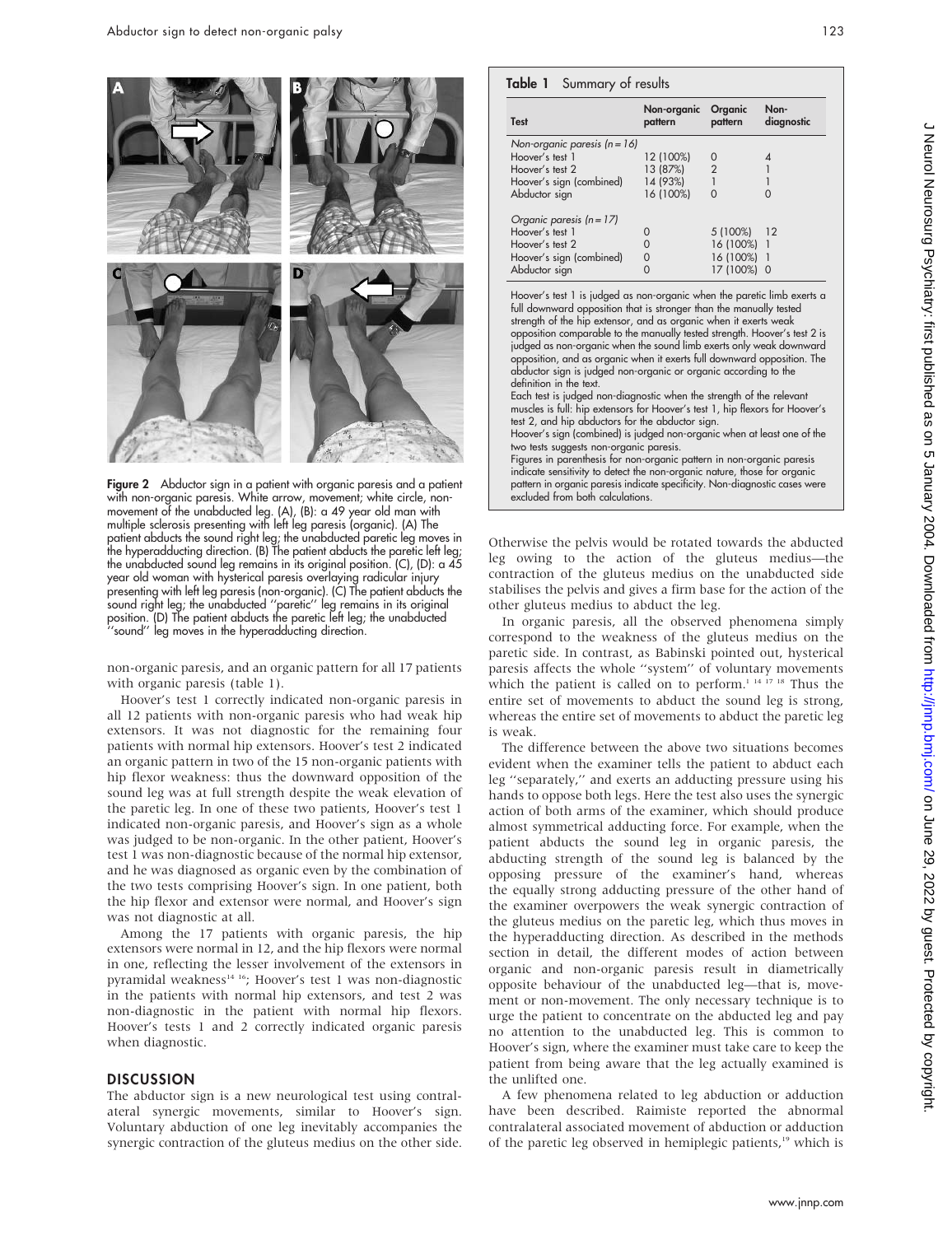

Figure 2 Abductor sign in a patient with organic paresis and a patient with non-organic paresis. White arrow, movement; white circle, nonmovement of the unabducted leg. (A), (B): a 49 year old man with multiple sclerosis presenting with left leg paresis (organic). (A) The patient abducts the sound right leg; the unabducted paretic leg moves in the hyperadducting direction. (B) The patient abducts the paretic left leg; the unabducted sound leg remains in its original position. (C), (D): a 45 year old woman with hysterical paresis overlaying radicular injury presenting with left leg paresis (non-organic). (C) The patient abducts the sound right leg; the unabducted ''paretic'' leg remains in its original position. (D) The patient abducts the paretic left leg; the unabducted ''sound'' leg moves in the hyperadducting direction.

non-organic paresis, and an organic pattern for all 17 patients with organic paresis (table 1).

Hoover's test 1 correctly indicated non-organic paresis in all 12 patients with non-organic paresis who had weak hip extensors. It was not diagnostic for the remaining four patients with normal hip extensors. Hoover's test 2 indicated an organic pattern in two of the 15 non-organic patients with hip flexor weakness: thus the downward opposition of the sound leg was at full strength despite the weak elevation of the paretic leg. In one of these two patients, Hoover's test 1 indicated non-organic paresis, and Hoover's sign as a whole was judged to be non-organic. In the other patient, Hoover's test 1 was non-diagnostic because of the normal hip extensor, and he was diagnosed as organic even by the combination of the two tests comprising Hoover's sign. In one patient, both the hip flexor and extensor were normal, and Hoover's sign was not diagnostic at all.

Among the 17 patients with organic paresis, the hip extensors were normal in 12, and the hip flexors were normal in one, reflecting the lesser involvement of the extensors in pyramidal weakness<sup>14 16</sup>; Hoover's test 1 was non-diagnostic in the patients with normal hip extensors, and test 2 was non-diagnostic in the patient with normal hip flexors. Hoover's tests 1 and 2 correctly indicated organic paresis when diagnostic.

#### **DISCUSSION**

The abductor sign is a new neurological test using contralateral synergic movements, similar to Hoover's sign. Voluntary abduction of one leg inevitably accompanies the synergic contraction of the gluteus medius on the other side.

## Table 1 Summary of results

| <b>Test</b>                                                                                                       | Non-organic<br>pattern                         | Organic<br>pattern                              | Non-<br>diagnostic |
|-------------------------------------------------------------------------------------------------------------------|------------------------------------------------|-------------------------------------------------|--------------------|
| Non-organic paresis $(n = 16)$<br>Hoover's test 1<br>Hoover's test 2<br>Hoover's sign (combined)<br>Abductor sign | 12 (100%)<br>13 (87%)<br>14 (93%)<br>16 (100%) | $\Omega$<br>$\overline{2}$<br>$\Omega$          | Δ                  |
| Organic paresis $(n = 17)$<br>Hoover's test 1<br>Hoover's test 2<br>Hoover's sign (combined)<br>Abductor sign     | $\mathcal{L}$                                  | 5 (100%)<br>16 (100%)<br>16 (100%)<br>17 (100%) | 12<br>1            |

Hoover's test 1 is judged as non-organic when the paretic limb exerts a full downward opposition that is stronger than the manually tested strength of the hip extensor, and as organic when it exerts weak opposition comparable to the manually tested strength. Hoover's test 2 is judged as non-organic when the sound limb exerts only weak downward opposition, and as organic when it exerts full downward opposition. The abductor sign is judged non-organic or organic according to the definition in the text. Each test is judged non-diagnostic when the strength of the relevant muscles is full: hip extensors for Hoover's test 1, hip flexors for Hoover's test 2, and hip abductors for the abductor sign.

Hoover's sign (combined) is judged non-organic when at least one of the two tests suggests non-organic paresis. Figures in parenthesis for non-organic pattern in non-organic paresis indicate sensitivity to detect the non-organic nature, those for organic

pattern in organic paresis indicate specificity. Non-diagnostic cases were excluded from both calculations.

Otherwise the pelvis would be rotated towards the abducted leg owing to the action of the gluteus medius—the contraction of the gluteus medius on the unabducted side stabilises the pelvis and gives a firm base for the action of the other gluteus medius to abduct the leg.

In organic paresis, all the observed phenomena simply correspond to the weakness of the gluteus medius on the paretic side. In contrast, as Babinski pointed out, hysterical paresis affects the whole ''system'' of voluntary movements which the patient is called on to perform.<sup>1</sup><sup>14</sup><sup>17</sup><sup>18</sup> Thus the entire set of movements to abduct the sound leg is strong, whereas the entire set of movements to abduct the paretic leg is weak.

The difference between the above two situations becomes evident when the examiner tells the patient to abduct each leg ''separately,'' and exerts an adducting pressure using his hands to oppose both legs. Here the test also uses the synergic action of both arms of the examiner, which should produce almost symmetrical adducting force. For example, when the patient abducts the sound leg in organic paresis, the abducting strength of the sound leg is balanced by the opposing pressure of the examiner's hand, whereas the equally strong adducting pressure of the other hand of the examiner overpowers the weak synergic contraction of the gluteus medius on the paretic leg, which thus moves in the hyperadducting direction. As described in the methods section in detail, the different modes of action between organic and non-organic paresis result in diametrically opposite behaviour of the unabducted leg—that is, movement or non-movement. The only necessary technique is to urge the patient to concentrate on the abducted leg and pay no attention to the unabducted leg. This is common to Hoover's sign, where the examiner must take care to keep the patient from being aware that the leg actually examined is the unlifted one.

A few phenomena related to leg abduction or adduction have been described. Raimiste reported the abnormal contralateral associated movement of abduction or adduction of the paretic leg observed in hemiplegic patients,<sup>19</sup> which is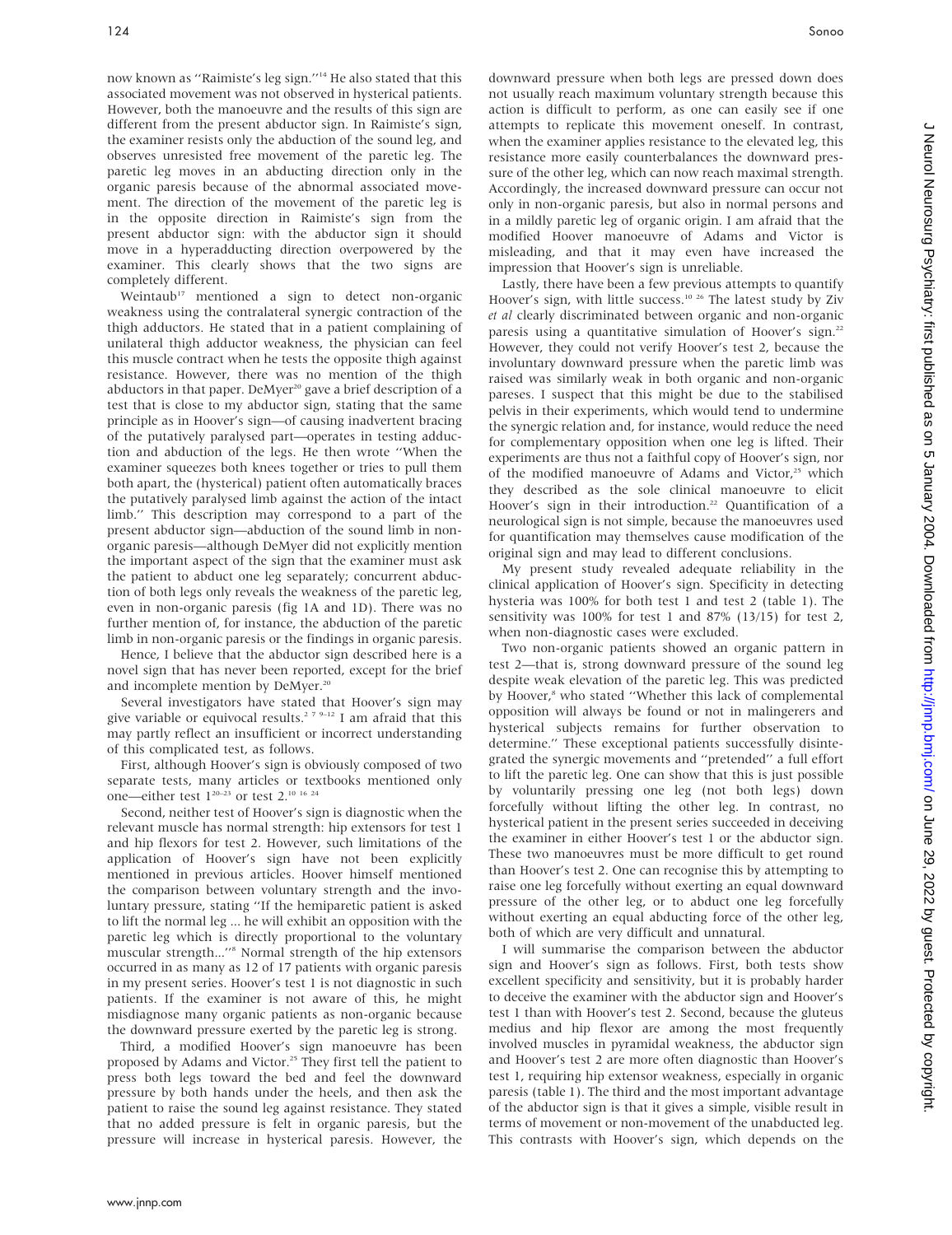now known as ''Raimiste's leg sign.''14 He also stated that this associated movement was not observed in hysterical patients. However, both the manoeuvre and the results of this sign are different from the present abductor sign. In Raimiste's sign, the examiner resists only the abduction of the sound leg, and observes unresisted free movement of the paretic leg. The paretic leg moves in an abducting direction only in the organic paresis because of the abnormal associated movement. The direction of the movement of the paretic leg is in the opposite direction in Raimiste's sign from the present abductor sign: with the abductor sign it should move in a hyperadducting direction overpowered by the examiner. This clearly shows that the two signs are completely different.

Weintaub<sup>17</sup> mentioned a sign to detect non-organic weakness using the contralateral synergic contraction of the thigh adductors. He stated that in a patient complaining of unilateral thigh adductor weakness, the physician can feel this muscle contract when he tests the opposite thigh against resistance. However, there was no mention of the thigh abductors in that paper. DeMyer<sup>20</sup> gave a brief description of a test that is close to my abductor sign, stating that the same principle as in Hoover's sign—of causing inadvertent bracing of the putatively paralysed part—operates in testing adduction and abduction of the legs. He then wrote ''When the examiner squeezes both knees together or tries to pull them both apart, the (hysterical) patient often automatically braces the putatively paralysed limb against the action of the intact limb.'' This description may correspond to a part of the present abductor sign—abduction of the sound limb in nonorganic paresis—although DeMyer did not explicitly mention the important aspect of the sign that the examiner must ask the patient to abduct one leg separately; concurrent abduction of both legs only reveals the weakness of the paretic leg, even in non-organic paresis (fig 1A and 1D). There was no further mention of, for instance, the abduction of the paretic limb in non-organic paresis or the findings in organic paresis.

Hence, I believe that the abductor sign described here is a novel sign that has never been reported, except for the brief and incomplete mention by DeMyer.<sup>20</sup>

Several investigators have stated that Hoover's sign may give variable or equivocal results.<sup>2 7 9–12</sup> I am afraid that this may partly reflect an insufficient or incorrect understanding of this complicated test, as follows.

First, although Hoover's sign is obviously composed of two separate tests, many articles or textbooks mentioned only one—either test  $1^{20-23}$  or test  $2^{10-16-24}$ 

Second, neither test of Hoover's sign is diagnostic when the relevant muscle has normal strength: hip extensors for test 1 and hip flexors for test 2. However, such limitations of the application of Hoover's sign have not been explicitly mentioned in previous articles. Hoover himself mentioned the comparison between voluntary strength and the involuntary pressure, stating ''If the hemiparetic patient is asked to lift the normal leg ... he will exhibit an opposition with the paretic leg which is directly proportional to the voluntary muscular strength...''8 Normal strength of the hip extensors occurred in as many as 12 of 17 patients with organic paresis in my present series. Hoover's test 1 is not diagnostic in such patients. If the examiner is not aware of this, he might misdiagnose many organic patients as non-organic because the downward pressure exerted by the paretic leg is strong.

Third, a modified Hoover's sign manoeuvre has been proposed by Adams and Victor.<sup>25</sup> They first tell the patient to press both legs toward the bed and feel the downward pressure by both hands under the heels, and then ask the patient to raise the sound leg against resistance. They stated that no added pressure is felt in organic paresis, but the pressure will increase in hysterical paresis. However, the downward pressure when both legs are pressed down does not usually reach maximum voluntary strength because this action is difficult to perform, as one can easily see if one attempts to replicate this movement oneself. In contrast, when the examiner applies resistance to the elevated leg, this resistance more easily counterbalances the downward pressure of the other leg, which can now reach maximal strength. Accordingly, the increased downward pressure can occur not only in non-organic paresis, but also in normal persons and in a mildly paretic leg of organic origin. I am afraid that the modified Hoover manoeuvre of Adams and Victor is misleading, and that it may even have increased the impression that Hoover's sign is unreliable.

Lastly, there have been a few previous attempts to quantify Hoover's sign, with little success.<sup>10 26</sup> The latest study by Ziv et al clearly discriminated between organic and non-organic paresis using a quantitative simulation of Hoover's sign.<sup>22</sup> However, they could not verify Hoover's test 2, because the involuntary downward pressure when the paretic limb was raised was similarly weak in both organic and non-organic pareses. I suspect that this might be due to the stabilised pelvis in their experiments, which would tend to undermine the synergic relation and, for instance, would reduce the need for complementary opposition when one leg is lifted. Their experiments are thus not a faithful copy of Hoover's sign, nor of the modified manoeuvre of Adams and Victor,<sup>25</sup> which they described as the sole clinical manoeuvre to elicit Hoover's sign in their introduction.<sup>22</sup> Quantification of a neurological sign is not simple, because the manoeuvres used for quantification may themselves cause modification of the original sign and may lead to different conclusions.

My present study revealed adequate reliability in the clinical application of Hoover's sign. Specificity in detecting hysteria was 100% for both test 1 and test 2 (table 1). The sensitivity was 100% for test 1 and 87% (13/15) for test 2, when non-diagnostic cases were excluded.

Two non-organic patients showed an organic pattern in test 2—that is, strong downward pressure of the sound leg despite weak elevation of the paretic leg. This was predicted by Hoover,<sup>8</sup> who stated "Whether this lack of complemental opposition will always be found or not in malingerers and hysterical subjects remains for further observation to determine.'' These exceptional patients successfully disintegrated the synergic movements and ''pretended'' a full effort to lift the paretic leg. One can show that this is just possible by voluntarily pressing one leg (not both legs) down forcefully without lifting the other leg. In contrast, no hysterical patient in the present series succeeded in deceiving the examiner in either Hoover's test 1 or the abductor sign. These two manoeuvres must be more difficult to get round than Hoover's test 2. One can recognise this by attempting to raise one leg forcefully without exerting an equal downward pressure of the other leg, or to abduct one leg forcefully without exerting an equal abducting force of the other leg, both of which are very difficult and unnatural.

I will summarise the comparison between the abductor sign and Hoover's sign as follows. First, both tests show excellent specificity and sensitivity, but it is probably harder to deceive the examiner with the abductor sign and Hoover's test 1 than with Hoover's test 2. Second, because the gluteus medius and hip flexor are among the most frequently involved muscles in pyramidal weakness, the abductor sign and Hoover's test 2 are more often diagnostic than Hoover's test 1, requiring hip extensor weakness, especially in organic paresis (table 1). The third and the most important advantage of the abductor sign is that it gives a simple, visible result in terms of movement or non-movement of the unabducted leg. This contrasts with Hoover's sign, which depends on the